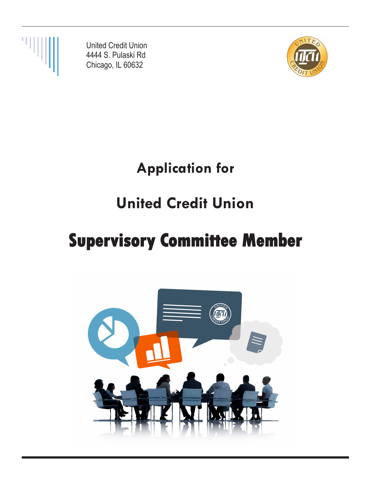

United Credit Union 4444 S. Pulaski Rd Chicago, IL 60632



## **Application for**

# **United Credit Union**

# **Supervisory Committee Member**

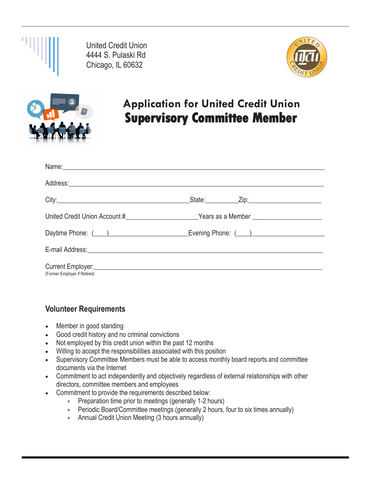

United Credit Union 4444 S. Pulaski Rd Chicago, IL 60632





## **Application for United Credit Union Supervisory Committee Member**

| Name: Name: Name: Name: Name: Name: Name: Name: Name: Name: Name: Name: Name: Name: Name: Name: Name: Name: Name: Name: Name: Name: Name: Name: Name: Name: Name: Name: Name: Name: Name: Name: Name: Name: Name: Name: Name:  |  |
|--------------------------------------------------------------------------------------------------------------------------------------------------------------------------------------------------------------------------------|--|
| Address: Andreas Address: Address: Address: Address: Address: Address: Address: Address: Address: Address: Address: Address: Address: Address: Address: Address: Address: Address: Address: Address: Address: Address: Address |  |
|                                                                                                                                                                                                                                |  |
|                                                                                                                                                                                                                                |  |
|                                                                                                                                                                                                                                |  |
| E-mail Address: <u>Communication</u> Communication of the Communication Communication Communication Communication                                                                                                              |  |
| Current Employer:<br><u>Current Employer:</u><br>(Former Employer if Retired)                                                                                                                                                  |  |

#### **Volunteer Requirements**

- Member in good standing
- Good credit history and no criminal convictions
- Not employed by this credit union within the past 12 months
- Willing to accept the responsibilities associated with this position
- Supervisory Committee Members must be able to access monthly board reports and committee documents via the Internet
- Commitment to act independently and objectively regardless of external relationships with other directors, committee members and employees
- Commitment to provide the requirements described below:
	- Preparation time prior to meetings (generally 1-2 hours)
	- Periodic Board/Committee meetings (generally 2 hours, four to six times annually)
	- Annual Credit Union Meeting (3 hours annually)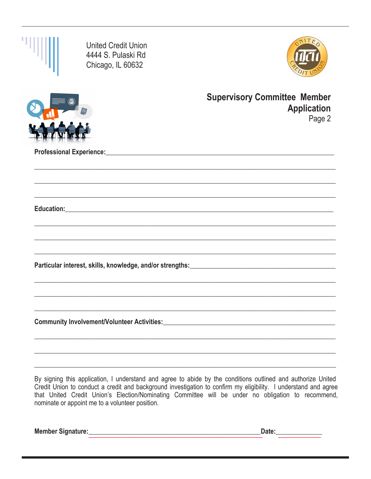| <b>United Credit Union</b><br>4444 S. Pulaski Rd<br>Chicago, IL 60632 |                                                                     |
|-----------------------------------------------------------------------|---------------------------------------------------------------------|
|                                                                       | <b>Supervisory Committee Member</b><br><b>Application</b><br>Page 2 |
|                                                                       |                                                                     |
|                                                                       |                                                                     |
|                                                                       |                                                                     |
|                                                                       |                                                                     |
|                                                                       |                                                                     |
|                                                                       |                                                                     |
|                                                                       |                                                                     |
|                                                                       |                                                                     |
|                                                                       |                                                                     |
|                                                                       |                                                                     |

By signing this application, I understand and agree to abide by the conditions outlined and authorize United Credit Union to conduct a credit and background investigation to confirm my eligibility. I understand and agree that United Credit Union's Election/Nominating Committee will be under no obligation to recommend, nominate or appoint me to a volunteer position.

Member Signature:

Date: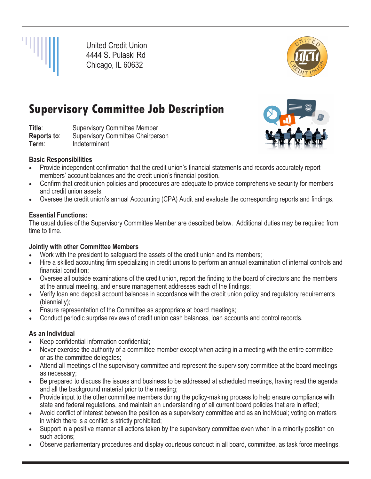

United Credit Union 4444 S. Pulaski Rd Chicago, IL 60632



## **Supervisory Committee Job Description**

**Title:** Supervisory Committee Member **Reports to:** Supervisory Committee Chairperson **Term**: Indeterminant



#### **Basic Responsibilities**

- Provide independent confirmation that the credit union's financial statements and records accurately report members' account balances and the credit union's financial position.
- Confirm that credit union policies and procedures are adequate to provide comprehensive security for members and credit union assets.
- Oversee the credit union's annual Accounting (CPA) Audit and evaluate the corresponding reports and findings.

#### **Essential Functions:**

The usual duties of the Supervisory Committee Member are described below. Additional duties may be required from time to time.

#### **Jointly with other Committee Members**

- Work with the president to safeguard the assets of the credit union and its members;
- Hire a skilled accounting firm specializing in credit unions to perform an annual examination of internal controls and financial condition;
- Oversee all outside examinations of the credit union, report the finding to the board of directors and the members at the annual meeting, and ensure management addresses each of the findings;
- Verify loan and deposit account balances in accordance with the credit union policy and regulatory requirements (biennially);
- Ensure representation of the Committee as appropriate at board meetings;
- Conduct periodic surprise reviews of credit union cash balances, loan accounts and control records.

#### **As an Individual**

- Keep confidential information confidential;
- Never exercise the authority of a committee member except when acting in a meeting with the entire committee or as the committee delegates;
- Attend all meetings of the supervisory committee and represent the supervisory committee at the board meetings as necessary;
- Be prepared to discuss the issues and business to be addressed at scheduled meetings, having read the agenda and all the background material prior to the meeting;
- Provide input to the other committee members during the policy-making process to help ensure compliance with state and federal regulations, and maintain an understanding of all current board policies that are in effect;
- Avoid conflict of interest between the position as a supervisory committee and as an individual; voting on matters in which there is a conflict is strictly prohibited;
- Support in a positive manner all actions taken by the supervisory committee even when in a minority position on such actions;
- Observe parliamentary procedures and display courteous conduct in all board, committee, as task force meetings.